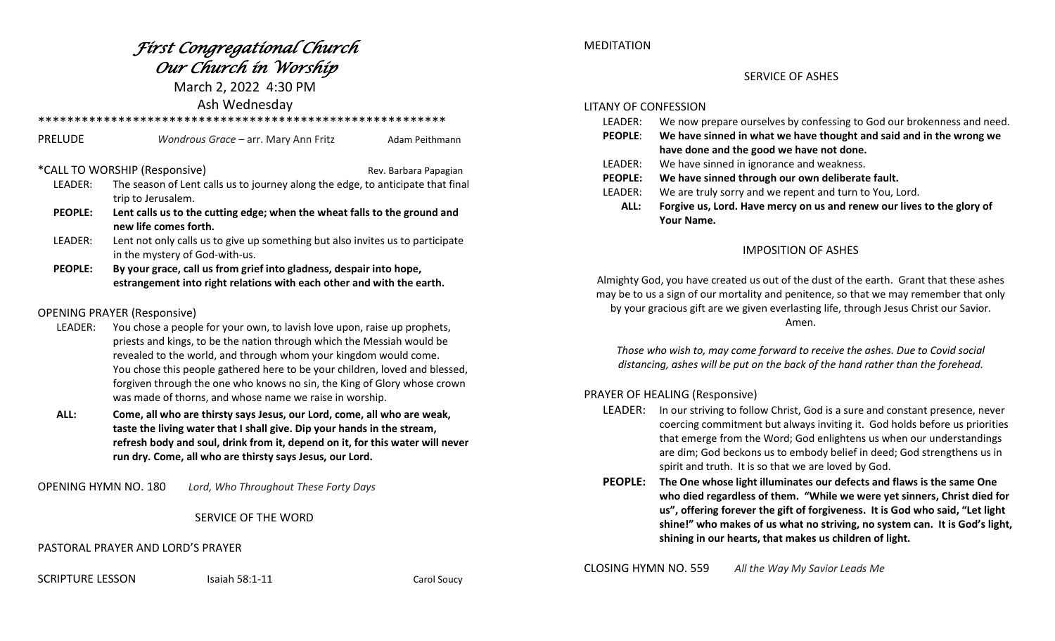# *First Congregational Church Our Church in Worship*

March 2, 2022 4:30 PM Ash Wednesday

\*\*\*\*\*\*\*\*\*\*\*\*\*\*\*\*\*\*\*\*\*\*\*\*\*\*\*\*\*\*\*\*\*\*\*\*\*\*\*\*\*\*\*\*\*\*\*\*\*\*\*\*\*\*\*\* PRELUDE *Wondrous Grace* – arr. Mary Ann Fritz and Adam Peithmann \*CALL TO WORSHIP (Responsive) Manual Rev. Barbara Papagian LEADER: The season of Lent calls us to journey along the edge, to anticipate that final trip to Jerusalem.  **PEOPLE: Lent calls us to the cutting edge; when the wheat falls to the ground and new life comes forth.** LEADER: Lent not only calls us to give up something but also invites us to participate in the mystery of God-with-us.  **PEOPLE: By your grace, call us from grief into gladness, despair into hope, estrangement into right relations with each other and with the earth.**

## OPENING PRAYER (Responsive)

- LEADER: You chose a people for your own, to lavish love upon, raise up prophets, priests and kings, to be the nation through which the Messiah would be revealed to the world, and through whom your kingdom would come. You chose this people gathered here to be your children, loved and blessed, forgiven through the one who knows no sin, the King of Glory whose crown was made of thorns, and whose name we raise in worship.
- **ALL: Come, all who are thirsty says Jesus, our Lord, come, all who are weak, taste the living water that I shall give. Dip your hands in the stream, refresh body and soul, drink from it, depend on it, for this water will never run dry. Come, all who are thirsty says Jesus, our Lord.**

OPENING HYMN NO. 180 *Lord, Who Throughout These Forty Days*

# SERVICE OF THE WORD

PASTORAL PRAYER AND LORD'S PRAYER

SCRIPTURE LESSON Isaiah 58:1-11 Carol Soucy

## MEDITATION

## SERVICE OF ASHES

#### LITANY OF CONFESSION

- LEADER: We now prepare ourselves by confessing to God our brokenness and need.
- **PEOPLE**: **We have sinned in what we have thought and said and in the wrong we have done and the good we have not done.**
- LEADER: We have sinned in ignorance and weakness.
- **PEOPLE: We have sinned through our own deliberate fault.**
- LEADER: We are truly sorry and we repent and turn to You, Lord.
	- **ALL: Forgive us, Lord. Have mercy on us and renew our lives to the glory of Your Name.**

# IMPOSITION OF ASHES

Almighty God, you have created us out of the dust of the earth. Grant that these ashes may be to us a sign of our mortality and penitence, so that we may remember that only by your gracious gift are we given everlasting life, through Jesus Christ our Savior. Amen.

*Those who wish to, may come forward to receive the ashes. Due to Covid social distancing, ashes will be put on the back of the hand rather than the forehead.*

# PRAYER OF HEALING (Responsive)

- LEADER: In our striving to follow Christ, God is a sure and constant presence, never coercing commitment but always inviting it. God holds before us priorities that emerge from the Word; God enlightens us when our understandings are dim; God beckons us to embody belief in deed; God strengthens us in spirit and truth. It is so that we are loved by God.
- **PEOPLE: The One whose light illuminates our defects and flaws is the same One who died regardless of them. "While we were yet sinners, Christ died for us", offering forever the gift of forgiveness. It is God who said, "Let light shine!" who makes of us what no striving, no system can. It is God's light, shining in our hearts, that makes us children of light.**

CLOSING HYMN NO. 559 *All the Way My Savior Leads Me*